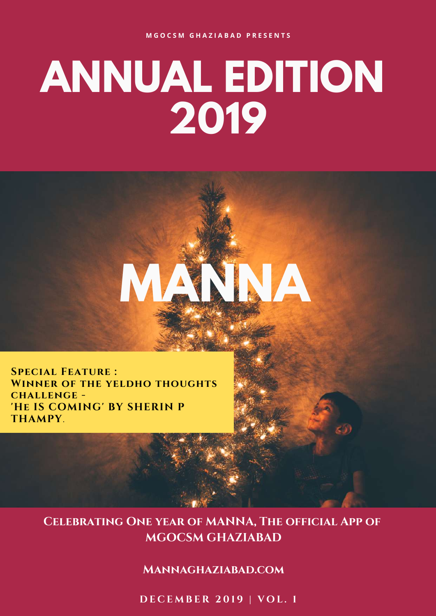# **ANNUAL EDITION 2019**

**MANNA**

**Special Feature : Winner of the yeldho thoughts challenge - 'He IS COMING' BY SHERIN P THAMPY**.

#### **Celebrating One year of MANNA, The official App of MGOCSM GHAZIABAD**

#### **[Mannaghaziabad.com](https://mannaghaziabad.com/)**

**D E C E M B E R 2 0 1 9 | V O L . 1**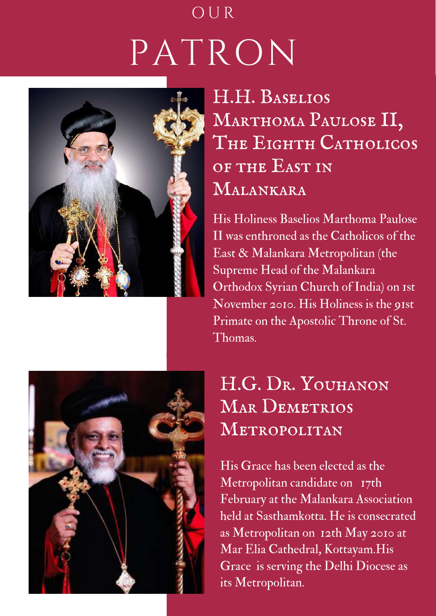## PATRON O U R



## H.H. Baselios MARTHOMA PAULOSE II, The Eighth Catholicos of the East in Malankara

His Holiness Baselios Marthoma Paulose II was enthroned as the Catholicos of the East & Malankara Metropolitan (the Supreme Head of the Malankara Orthodox Syrian Church of India) on 1st November 2010. His Holiness is the 91st Primate on the Apostolic Throne of St. Thomas.



## H.G. DR. YOUHANON MAR DEMETRIOS Metropolitan

His Grace has been elected as the Metropolitan candidate on 17th February at the Malankara Association held at Sasthamkotta. He is consecrated as Metropolitan on 12th May 2010 at Mar Elia Cathedral, Kottayam.His Grace is serving the Delhi Diocese as its Metropolitan.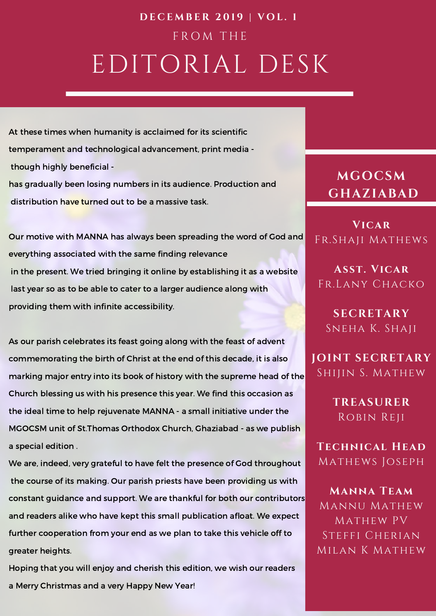## EDITORIAL DESK F R O M T H E **D E C E M B E R 2 0 1 9 | V O L . 1**

At these times when humanity is acclaimed for its scientific temperament and technological advancement, print media though highly beneficial has gradually been losing numbers in its audience. Production and distribution h<mark>ave tu</mark>rned out to be a massive task.<br>Our motive with MANNA has always been spreading the word of God and

everything associated with the same finding relevance in the present. We tried bringing it online by establishing it as a website last year so as to be able to cater to a larger audience along with providing them with infinite accessibility.

As our parish celebrates its feast going along with the feast of advent commemorating the birth of Christ at the end of this decade, it is also marking major entry into its book of history with the supreme head of the Church blessing us with his presence this year. We find this occasion as the ideal time to help rejuvenate MANNA - a small initiative under the MGOCSM unit of St.Thomas Orthodox Church, Ghaziabad - as we publish a special edition .

We are, indeed, very grateful to have felt the presence of God throughout the course of its making. Our parish priests have been providing us with constant guidance and support. We are thankful for both our contributors and readers alike who have kept this small publication afloat. We expect further cooperation from your end as we plan to take this vehicle off to greater heights.

Hoping that you will enjoy and cherish this edition, we wish our readers a Merry Christmas and a very Happy New Year!

#### **MGOCSM GHAZIABAD**

**Vicar** Fr.Shaji Mathews

**Asst. Vicar** Fr.Lany Chacko

**SECRETARY** Sneha K. Shaji

**JOINT SECRETARY** Shijin S. Mathew

> **TREASURER** Robin Reji

**Technical Head** Mathews Joseph

**Manna Team** Mannu Mathew Mathew PV Steffi Cherian Milan K Mathew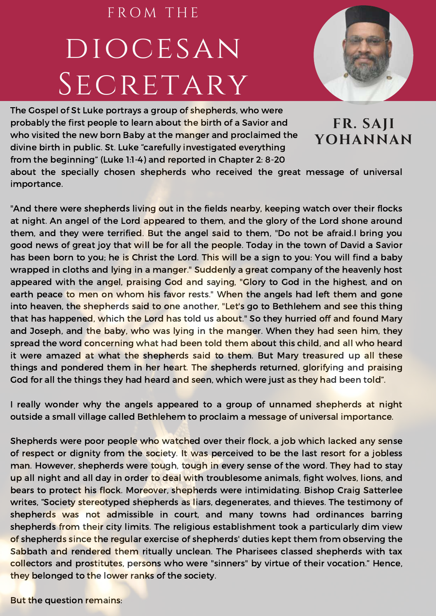## diocesan SECRETARY F R O M T H E



The Gospel of St Luke portrays a group of shepherds, who were probably the first people to learn about the birth of a Savior and who visited the new born Baby at the manger and proclaimed the divine birth in public. St. Luke "carefully investigated everything from the beginning" (Luke 1:1-4) and reported in Chapter 2: 8-20

**FR. SAJI YOHANNAN**

about the specially chosen shepherds who received the great message of universal importance.

"And there were shepherds living out in the fields nearby, keeping watch over their flocks at night. An angel of the Lord appeared to them, and the glory of the Lord shone around them, and they were terrified. But the angel said to them, "Do not be afraid. I bring you good news of great joy that will be for all the people.Today in the town of David a Savior has been born to you; he is Christ the Lord. This will be a sign to you: You will find a baby wrapped in cloths and lying in a manger." Suddenly a great company of the heavenly host appeared with the angel, praising God and saying, "Glory to God in the highest, and on earth peace to men on whom his favor rests." When the angels had left them and gone into heaven, the shepherds said to one another, "Let's go to Bethlehem and see this thing that has happened, which the Lord has told us about." So they hurried off and found Mary and Joseph, and the baby, who was lying in the manger. When they had seen him, they spread the word concerning what had been told them about this child, and all who heard it were amazed at what the shepherds said to them. But Mary treasured up all these things and pondered them in her heart. The shepherds returned, glorifying and praising God for all the things they had heard and seen, which were just as they had been told".

I really wonder why the angels appeared to a group of unnamed shepherds at night outside a small village called Bethlehem to proclaim a message of universal importance.

Shepherds were poor people who watched over their flock, a job which lacked any sense of respect or dignity from the society. It was perceived to be the last resort for a jobless man. However, shepherds were tough, tough in every sense of the word. They had to stay up all night and all day in order to deal with troublesome animals, fight wolves, lions, and bears to protect his flock. Moreover, shepherds were intimidating. Bishop Craig Satterlee writes, "Society stereotyped shepherds as liars, degenerates, and thieves. The testimony of shepherds was not admissible in court, and many towns had ordinances barring shepherds from their city limits. The religious establishment took a particularly dim view of shepherds since the regular exercise of shepherds' duties kept them from observing the Sabbath and rendered them ritually unclean. The Pharisees classed shepherds with tax collectors and prostitutes, persons who were "sinners" by virtue of their vocation." Hence, they belonged to the lower ranks of the society.

But the question remains: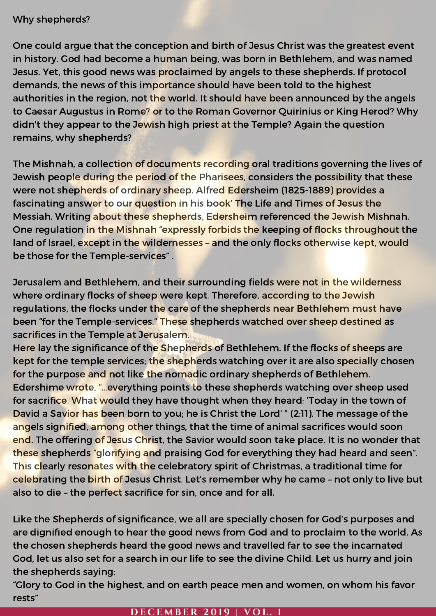#### Why shepherds?

One could argue that the conception and birth of Jesus Christ was the greatest event in history. God had become a human being, was born in Bethlehem, and was named Jesus. Yet, this good news was proclaimed by angels to these shepherds. If protocol demands, the news of this importance should have been told to the highest authorities in the region, not the world. It should have been announced by the angels to Caesar Augustus in Rome? or to the Roman Governor Quirinius or King Herod? Why didn't they appear to the Jewish high priest at the Temple? Again the question remains, why shepherds?

The Mishnah, a collection of documents recording oral traditions governing the lives of Jewish people during the period of the Pharisees, considers the possibility that these were not shepherds of ordinary sheep. Alfred Edersheim (1825-1889) provides a fascinating answer to our question in his book' The Life and Times of Jesus the Messiah. Writing about these shepherds, Edersheim referenced the Jewish Mishnah. One regulation in the Mishnah "expressly forbids the keeping of flocks throughout the land of Israel, except in the wildernesses - and the only flocks otherwise kept, would be those for the Temple-services" .

Jerusalem and Bethlehem, and their surrounding fields were not in the wilderness where ordinary flocks of sheep were kept. Therefore, according to the Jewish regulations, the flocks under the care of the shepherds near Bethlehem must have been "for the Temple-services." These shepherds watched over sheep destined as sacrifices in the Temple at Jerusalem.

Here lay the significance of the Shepherds of Bethlehem. If the flocks of sheeps are kept for the temple services; the shepherds watching over it are also specially chosen for the purpose and not like the nomadic ordinary shepherds of Bethlehem. Edershime wrote, "…everything points to these shepherds watching over sheep used for sacrifice. What would they have thought when they heard: 'Today in the town of David a Savior has been born to you; he is Christ the Lord' " (2:11). The message of the angels signified, among other things, that the time of animal sacrifices would soon end. The offering of Jesus Christ, the Savior would soon take place. It is no wonder that these shepherds "glorifying and praising God for everything they had heard and seen". This clearly resonates with the celebratory spirit of Christmas, a traditional time for celebrating the birth of Jesus Christ. Let's remember why he came – not only to live but also to die – the perfect sacrifice for sin, once and for all.

Like the Shepherds of significance, we all are specially chosen for God's purposes and are dignified enough to hear the good news from God and to proclaim to the world. As the chosen shepherds heard the good news and travelled far to see the incarnated God, let us also set for a search in our life to see the divine Child. Let us hurry and join the shepherds saying:

"Glory to God in the highest, and on earth peace men and women, on whom his favor rests"

#### **D E C E M B E R 2 0 1 9 | V O L . 1**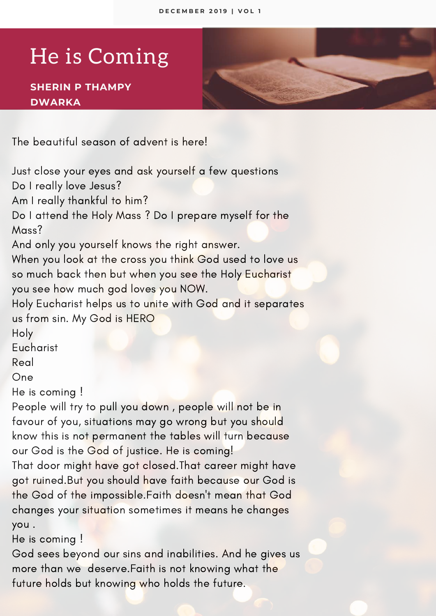## He is Coming

#### **SHERIN P THAMPY DWARKA**

The beautiful season of advent is here!

Just close your eyes and ask yourself a few questions Do I really love Jesus?

Am I really thankful to him?

Do Iattend the Holy Mass ? Do I prepare myself for the Mass?

And only you yourself knows the right answer.

When you look at the cross you think God used to love us so much back then but when you see the Holy Eucharist you see how much god loves you NOW.

Holy Eucharist helps us to unite with God and it separates us from sin. My God is HERO

Holy

**Eucharist** 

Real

One

He is coming !

People will try to pull you down , people will not be in favour of you, situations may go wrong but you should know this is not permanent the tables will turn because our God is the God of justice. He is coming!

That door might have got closed.That career might have got ruined.But you should have faith because our God is the God of the impossible.Faith doesn't mean that God changes your situation sometimes it means he changes you .

He is coming !

God sees beyond our sins and inabilities. And he gives us more than we deserve.Faith is not knowing what the future holds but knowing who holds the future.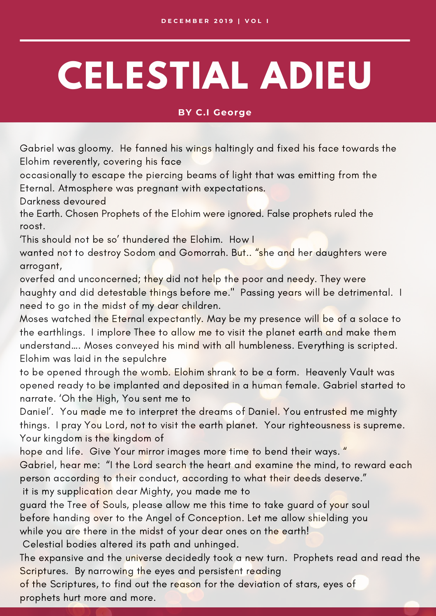# **CELESTIAL ADIEU**

#### **BY C.I George**

Gabriel was gloomy. He fanned his wings haltingly and fixed his face towards the Elohim reverently, covering his face

occasionally to escape the piercing beams of light that was emitting from the Eternal. Atmosphere was pregnant with expectations.

Darkness devoured

the Earth. Chosen Prophets of the Elohim were ignored. False prophets ruled the roost.

'This should not be so' thundered the Elohim. How I

wanted not to destroy Sodom and Gomorrah. But.. "she and her daughters were arrogant,

overfed and unconcerned; they did not help the poor and needy. They were haughty and did detestable things before me." Passing years will be detrimental. I need to go in the midst of my dear children.

Moses watched the Eternal expectantly. May be my presence will be of a solace to the earthlings. I implore Thee to allow me to visit the planet earth and make them understand…. Moses conveyed his mind with all humbleness. Everything is scripted. Elohim was laid in the sepulchre

to be opened through the womb. Elohim shrank to be a form. Heavenly Vault was opened ready to be implanted and deposited in a human female. Gabriel started to narrate. 'Oh the High, You sent me to

Daniel'. You made me to interpret the dreams of Daniel. You entrusted me mighty things. I pray You Lord, not to visit the earth planet. Your righteousness is supreme. Your kingdom is the kingdom of

hope and life. Give Your mirror images more time to bend their ways. "

Gabriel, hear me: "I the Lord search the heart and examine the mind, to reward each person according to their conduct, according to what their deeds deserve."

it is my supplication dear Mighty, you made me to

guard the Tree of Souls, please allow me this time to take guard of your soul before handing over to the Angel of Conception. Let me allow shielding you while you are there in the midst of your dear ones on the earth!

Celestial bodies altered its path and unhinged.

The expansive and the universe decidedly took a new turn. Prophets read and read the Scriptures. By narrowing the eyes and persistent reading

of the Scriptures, to find out the reason for the deviation of stars, eyes of prophets hurt more and more.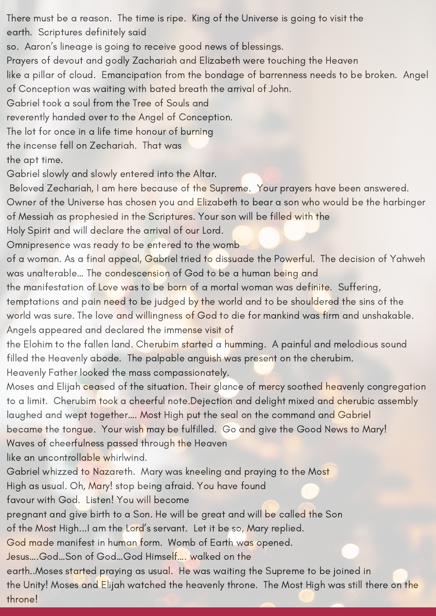There must be a reason. The time is ripe. King of the Universe is going to visit the earth. Scriptures definitely said

so. Aaron's lineage is going to receive good news of blessings.

Prayers of devout and godly Zachariah and Elizabeth were touching the Heaven

like a pillar of cloud. Emancipation from the bondage of barrenness needs to be broken. Angel of Conception was waiting with bated breath the arrival of John.

Gabriel took a soul from the Tree of Souls and

reverently handed over to the Angel of Conception.

The lot for once in a life time honour of burning

the incense fell on Zechariah. That was

the apt time.

Gabriel slowly and slowly entered into the Altar.

Beloved Zechariah, I am here because of the Supreme. Your prayers have been answered.

Owner of the Universe has chosen you and Elizabeth to bear a son who would be the harbinger of Messiah as prophesied in the Scriptures. Your son will be filled with the

Holy Spirit and will declare the arrival of our Lord.

Omnipresence was ready to be entered to the womb

of a woman. As a final appeal, Gabriel tried to dissuade the Powerful. The decision of Yahweh was unalterable… The condescension of God to be a human being and

the manifestation of Love was to be born of a mortal woman was definite. Suffering,

temptations and pain need to be judged by the world and to be shouldered the sins of the world was sure. The love and willingness of God to die for mankind was firm and unshakable. Angels appeared and declared the immense visit of

the Elohim to the fallen land. Cherubim started a humming. A painful and melodious sound filled the Heavenly abode. The palpable anguish was present on the cherubim.

Heavenly Father looked the mass compassionately.

Moses and Elijah ceased of the situation. Their glance of mercy soothed heavenly congregation to a limit. Cherubim took a cheerful note.Dejection and delight mixed and cherubic assembly laughed and wept together…. Most High put the seal on the command and Gabriel became the tongue. Your wish may be fulfilled. Go and give the Good News to Mary! Waves of cheerfulness passed through the Heaven

like an uncontrollable whirlwind.

Gabriel whizzed to Nazareth. Mary was kneeling and praying to the Most

High as usual. Oh, Mary! stop being afraid. You have found

favour with God. Listen! You will become

pregnant and give birth to a Son. He will be great and will be called the Son

of the Most High...I am the Lord's servant. Let it be so, Mary replied.

God made manifest in human form. Womb of Earth was opened.

Jesus….God…Son of God…God Himself…. walked on the

earth..Moses started praying as usual. He was waiting the Supreme to be joined in the Unity! Moses and Elijah watched the heavenly throne. The Most High was still there on the throne!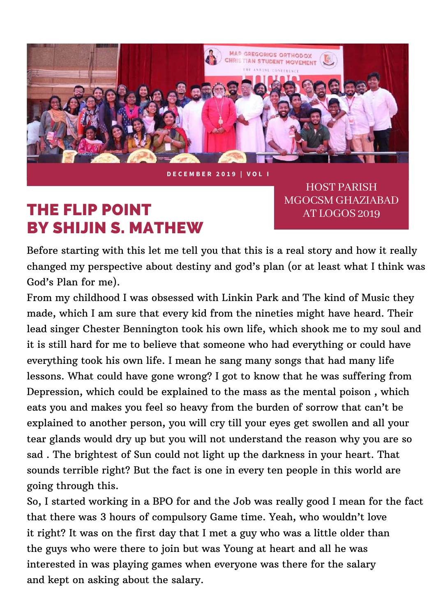

**D E C E M B E R 2 0 1 9 | V O L I**

### THE FLIP POINT BY SHIJIN S. MATHEW

**HOST PARISH** MGOCSM GHAZIABAD AT LOGOS 2019

Before starting with this let me tell you that this is a real story and how it really changed my perspective about destiny and god's plan (or at least what I think was God's Plan for me).

From my childhood I was obsessed with Linkin Park and The kind of Music they made, which I am sure that every kid from the nineties might have heard. Their lead singer Chester Bennington took his own life, which shook me to my soul and it is still hard for me to believe that someone who had everything or could have everything took his own life. I mean he sang many songs that had many life lessons. What could have gone wrong? I got to know that he was suffering from Depression, which could be explained to the mass as the mental poison , which eats you and makes you feel so heavy from the burden of sorrow that can't be explained to another person, you will cry till your eyes get swollen and all your tear glands would dry up but you will not understand the reason why you are so sad . The brightest of Sun could not light up the darkness in your heart. That sounds terrible right? But the fact is one in every ten people in this world are going through this.

So, I started working in a BPO for and the Job was really good I mean for the fact that there was 3 hours of compulsory Game time. Yeah, who wouldn't love it right? It was on the first day that I met a guy who was a little older than the guys who were there to join but was Young at heart and all he was interested in was playing games when everyone was there for the salary and kept on asking about the salary.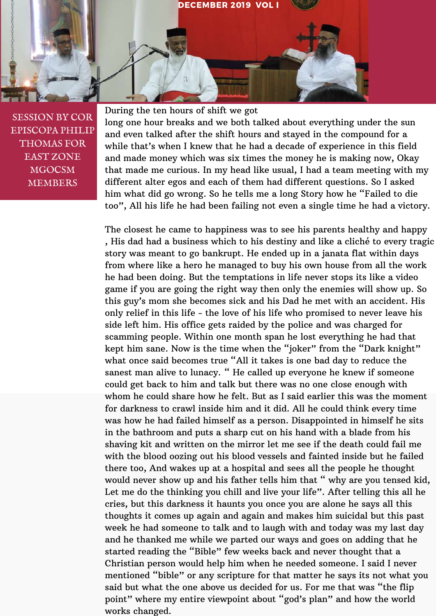

SESSION BY COR EPISCOPA PHILIP THOMAS FOR EAST ZONE MGOCSM MEMBERS

During the ten hours of shift we got

long one hour breaks and we both talked about everything under the sun and even talked after the shift hours and stayed in the compound for a while that's when I knew that he had a decade of experience in this field and made money which was six times the money he is making now, Okay that made me curious. In my head like usual, I had a team meeting with my different alter egos and each of them had different questions. So I asked him what did go wrong. So he tells me a long Story how he "Failed to die too", All his life he had been failing not even a single time he had a victory.

The closest he came to happiness was to see his parents healthy and happy , His dad had a business which to his destiny and like a cliché to every tragic story was meant to go bankrupt. He ended up in a janata flat within days from where like a hero he managed to buy his own house from all the work he had been doing. But the temptations in life never stops its like a video game if you are going the right way then only the enemies will show up. So this guy's mom she becomes sick and his Dad he met with an accident. His only relief in this life - the love of his life who promised to never leave his side left him. His office gets raided by the police and was charged for scamming people. Within one month span he lost everything he had that kept him sane. Now is the time when the "joker" from the "Dark knight" what once said becomes true "All it takes is one bad day to reduce the sanest man alive to lunacy. " He called up everyone he knew if someone could get back to him and talk but there was no one close enough with whom he could share how he felt. But as I said earlier this was the moment for darkness to crawl inside him and it did. All he could think every time was how he had failed himself as a person. Disappointed in himself he sits in the bathroom and puts a sharp cut on his hand with a blade from his shaving kit and written on the mirror let me see if the death could fail me with the blood oozing out his blood vessels and fainted inside but he failed there too, And wakes up at a hospital and sees all the people he thought would never show up and his father tells him that " why are you tensed kid, Let me do the thinking you chill and live your life". After telling this all he cries, but this darkness it haunts you once you are alone he says all this thoughts it comes up again and again and makes him suicidal but this past week he had someone to talk and to laugh with and today was my last day and he thanked me while we parted our ways and goes on adding that he started reading the "Bible" few weeks back and never thought that a Christian person would help him when he needed someone. I said I never mentioned "bible" or any scripture for that matter he says its not what you said but what the one above us decided for us. For me that was "the flip point" where my entire viewpoint about "god's plan" and how the world works changed.